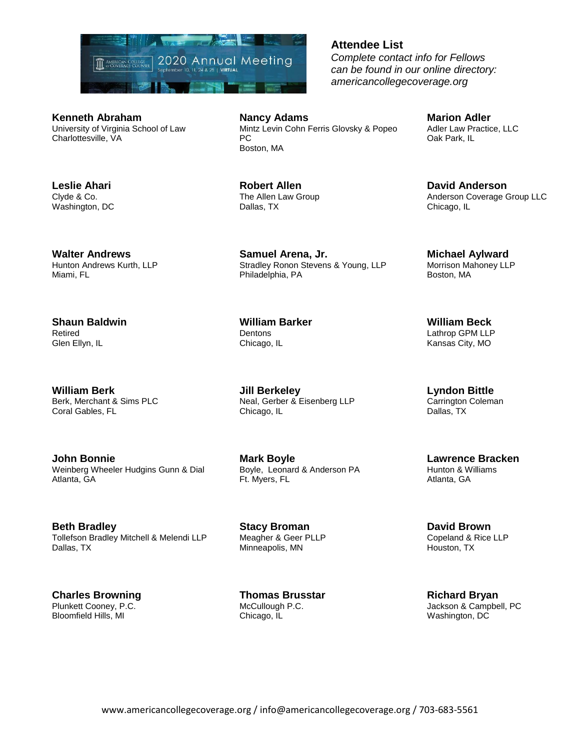

**Kenneth Abraham** University of Virginia School of Law Charlottesville, VA

**Leslie Ahari** Clyde & Co. Washington, DC

**Walter Andrews** Hunton Andrews Kurth, LLP Miami, FL

**Shaun Baldwin** Retired Glen Ellyn, IL

**William Berk** Berk, Merchant & Sims PLC Coral Gables, FL

**John Bonnie** Weinberg Wheeler Hudgins Gunn & Dial Atlanta, GA

**Beth Bradley** Tollefson Bradley Mitchell & Melendi LLP Dallas, TX

**Charles Browning** Plunkett Cooney, P.C. Bloomfield Hills, MI

**Nancy Adams** Mintz Levin Cohn Ferris Glovsky & Popeo PC Boston, MA

**Robert Allen** The Allen Law Group Dallas, TX

**Samuel Arena, Jr.** Stradley Ronon Stevens & Young, LLP Philadelphia, PA

**William Barker Dentons** Chicago, IL

**Jill Berkeley** Neal, Gerber & Eisenberg LLP Chicago, IL

**Mark Boyle** Boyle, Leonard & Anderson PA Ft. Myers, FL

**Stacy Broman** Meagher & Geer PLLP Minneapolis, MN

**Thomas Brusstar** McCullough P.C. Chicago, IL

## **Attendee List**

*Complete contact info for Fellows can be found in our online directory: americancollegecoverage.org*

**Marion Adler** Adler Law Practice, LLC Oak Park, IL

> **David Anderson** Anderson Coverage Group LLC Chicago, IL

**Michael Aylward** Morrison Mahoney LLP Boston, MA

**William Beck** Lathrop GPM LLP Kansas City, MO

**Lyndon Bittle** Carrington Coleman Dallas, TX

**Lawrence Bracken** Hunton & Williams Atlanta, GA

**David Brown** Copeland & Rice LLP Houston, TX

**Richard Bryan** Jackson & Campbell, PC Washington, DC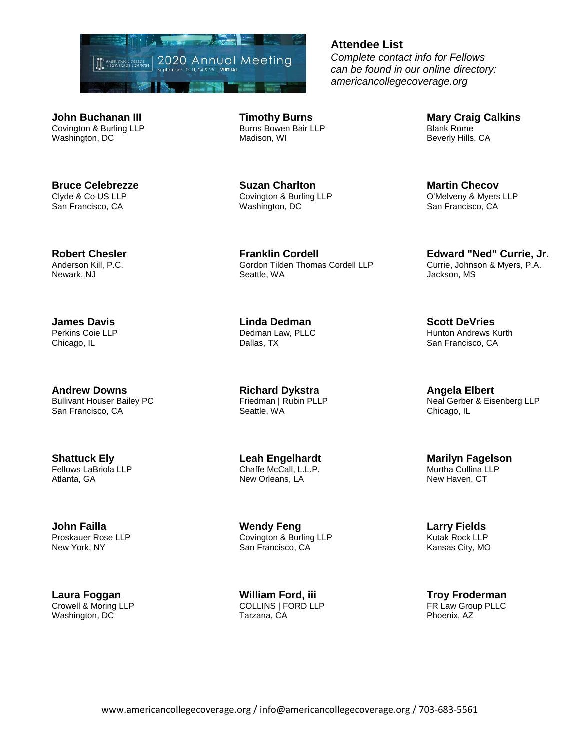

**John Buchanan III** Covington & Burling LLP Washington, DC

**Bruce Celebrezze** Clyde & Co US LLP San Francisco, CA

**Robert Chesler** Anderson Kill, P.C. Newark, NJ

**James Davis** Perkins Coie LLP Chicago, IL

**Andrew Downs** Bullivant Houser Bailey PC San Francisco, CA

**Shattuck Ely** Fellows LaBriola LLP Atlanta, GA

**John Failla** Proskauer Rose LLP New York, NY

**Laura Foggan** Crowell & Moring LLP Washington, DC

**Timothy Burns** Burns Bowen Bair LLP Madison, WI

**Suzan Charlton** Covington & Burling LLP Washington, DC

**Franklin Cordell** Gordon Tilden Thomas Cordell LLP Seattle, WA

**Linda Dedman** Dedman Law, PLLC Dallas, TX

**Richard Dykstra** Friedman | Rubin PLLP Seattle, WA

**Leah Engelhardt** Chaffe McCall, L.L.P. New Orleans, LA

**Wendy Feng** Covington & Burling LLP San Francisco, CA

**William Ford, iii** COLLINS | FORD LLP Tarzana, CA

**Attendee List**

*Complete contact info for Fellows can be found in our online directory: americancollegecoverage.org*

> **Mary Craig Calkins** Blank Rome Beverly Hills, CA

**Martin Checov** O'Melveny & Myers LLP San Francisco, CA

**Edward "Ned" Currie, Jr.** Currie, Johnson & Myers, P.A. Jackson, MS

**Scott DeVries** Hunton Andrews Kurth San Francisco, CA

**Angela Elbert** Neal Gerber & Eisenberg LLP Chicago, IL

**Marilyn Fagelson** Murtha Cullina LLP New Haven, CT

**Larry Fields** Kutak Rock LLP Kansas City, MO

**Troy Froderman** FR Law Group PLLC Phoenix, AZ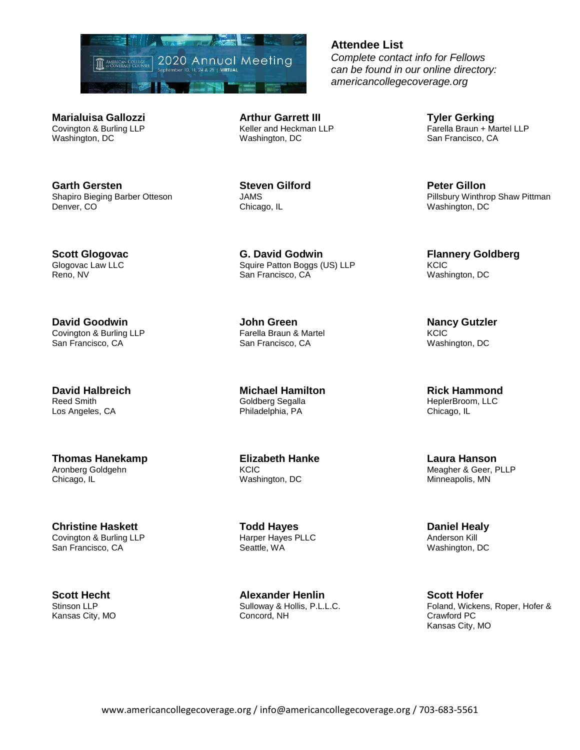

**Marialuisa Gallozzi** Covington & Burling LLP Washington, DC

**Garth Gersten** Shapiro Bieging Barber Otteson Denver, CO

**Scott Glogovac** Glogovac Law LLC Reno, NV

**David Goodwin** Covington & Burling LLP San Francisco, CA

**David Halbreich** Reed Smith Los Angeles, CA

**Thomas Hanekamp** Aronberg Goldgehn Chicago, IL

**Christine Haskett** Covington & Burling LLP San Francisco, CA

**Scott Hecht** Stinson LLP Kansas City, MO **Arthur Garrett III** Keller and Heckman LLP Washington, DC

**Steven Gilford** JAMS Chicago, IL

**G. David Godwin** Squire Patton Boggs (US) LLP San Francisco, CA

**John Green** Farella Braun & Martel San Francisco, CA

**Michael Hamilton** Goldberg Segalla Philadelphia, PA

**Elizabeth Hanke** KCIC Washington, DC

**Todd Hayes** Harper Hayes PLLC Seattle, WA

**Alexander Henlin** Sulloway & Hollis, P.L.L.C. Concord, NH

*Complete contact info for Fellows can be found in our online directory: americancollegecoverage.org*

**Attendee List**

**Tyler Gerking** Farella Braun + Martel LLP San Francisco, CA

**Peter Gillon** Pillsbury Winthrop Shaw Pittman Washington, DC

**Flannery Goldberg KCIC** Washington, DC

**Nancy Gutzler KCIC** Washington, DC

**Rick Hammond** HeplerBroom, LLC Chicago, IL

**Laura Hanson** Meagher & Geer, PLLP Minneapolis, MN

**Daniel Healy** Anderson Kill Washington, DC

**Scott Hofer** Foland, Wickens, Roper, Hofer & Crawford PC Kansas City, MO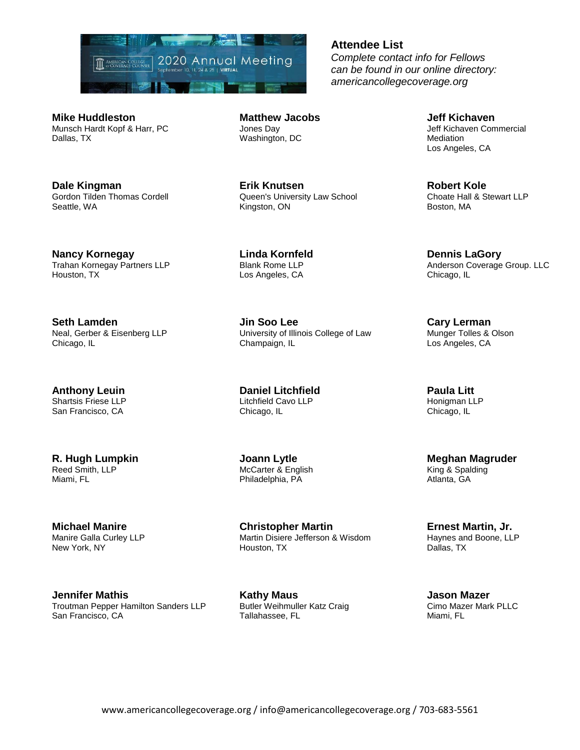

**Mike Huddleston** Munsch Hardt Kopf & Harr, PC Dallas, TX

**Dale Kingman** Gordon Tilden Thomas Cordell Seattle, WA

**Nancy Kornegay** Trahan Kornegay Partners LLP Houston, TX

**Seth Lamden** Neal, Gerber & Eisenberg LLP Chicago, IL

**Anthony Leuin** Shartsis Friese LLP San Francisco, CA

**R. Hugh Lumpkin** Reed Smith, LLP Miami, FL

**Michael Manire** Manire Galla Curley LLP New York, NY

**Jennifer Mathis** Troutman Pepper Hamilton Sanders LLP San Francisco, CA

**Matthew Jacobs** Jones Day Washington, DC

**Erik Knutsen** Queen's University Law School Kingston, ON

**Linda Kornfeld** Blank Rome LLP Los Angeles, CA

**Jin Soo Lee** University of Illinois College of Law Champaign, IL

**Daniel Litchfield** Litchfield Cavo LLP Chicago, IL

**Joann Lytle** McCarter & English Philadelphia, PA

**Christopher Martin** Martin Disiere Jefferson & Wisdom Houston, TX

**Kathy Maus** Butler Weihmuller Katz Craig Tallahassee, FL

#### **Attendee List**

*Complete contact info for Fellows can be found in our online directory: americancollegecoverage.org*

> **Jeff Kichaven** Jeff Kichaven Commercial **Mediation** Los Angeles, CA

**Robert Kole** Choate Hall & Stewart LLP Boston, MA

**Dennis LaGory** Anderson Coverage Group. LLC Chicago, IL

**Cary Lerman** Munger Tolles & Olson Los Angeles, CA

**Paula Litt** Honigman LLP Chicago, IL

**Meghan Magruder** King & Spalding Atlanta, GA

**Ernest Martin, Jr.** Haynes and Boone, LLP Dallas, TX

**Jason Mazer** Cimo Mazer Mark PLLC Miami, FL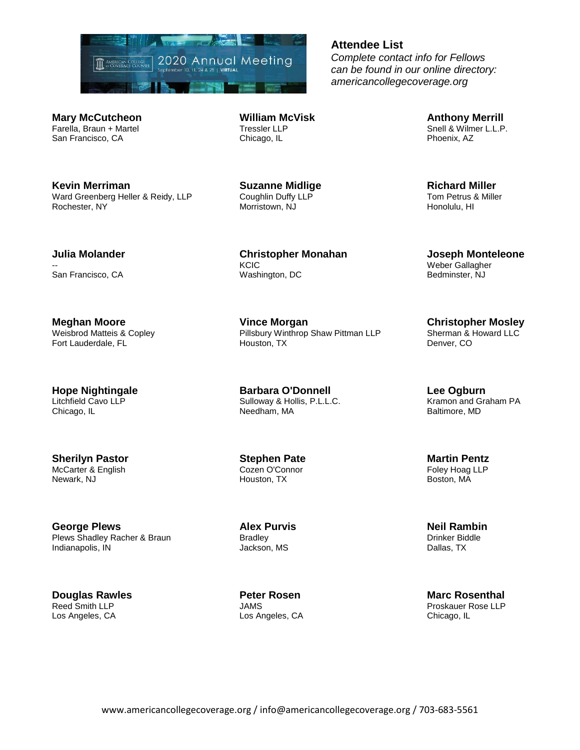

**Mary McCutcheon** Farella, Braun + Martel San Francisco, CA

**Kevin Merriman** Ward Greenberg Heller & Reidy, LLP Rochester, NY

**William McVisk** Tressler LLP Chicago, IL

> **Suzanne Midlige** Coughlin Duffy LLP Morristown, NJ

**Christopher Monahan KCIC** Washington, DC

**Vince Morgan** Pillsbury Winthrop Shaw Pittman LLP Houston, TX

**Barbara O'Donnell** Sulloway & Hollis, P.L.L.C. Needham, MA

**Stephen Pate** Cozen O'Connor Houston, TX

**Alex Purvis** Bradley Jackson, MS

**Peter Rosen** JAMS Los Angeles, CA **Anthony Merrill** Snell & Wilmer L.L.P. Phoenix, AZ

**Richard Miller** Tom Petrus & Miller Honolulu, HI

**Joseph Monteleone** Weber Gallagher Bedminster, NJ

**Christopher Mosley** Sherman & Howard LLC Denver, CO

**Lee Ogburn** Kramon and Graham PA Baltimore, MD

**Martin Pentz** Foley Hoag LLP Boston, MA

**Neil Rambin** Drinker Biddle Dallas, TX

**Marc Rosenthal** Proskauer Rose LLP Chicago, IL

#### **Julia Molander** --

San Francisco, CA

**Meghan Moore** Weisbrod Matteis & Copley Fort Lauderdale, FL

**Hope Nightingale** Litchfield Cavo LLP Chicago, IL

**Sherilyn Pastor** McCarter & English Newark, NJ

**George Plews** Plews Shadley Racher & Braun Indianapolis, IN

**Douglas Rawles** Reed Smith LLP Los Angeles, CA

# **Attendee List**

*Complete contact info for Fellows can be found in our online directory: americancollegecoverage.org*

www.americancollegecoverage.org / info@americancollegecoverage.org / 703-683-5561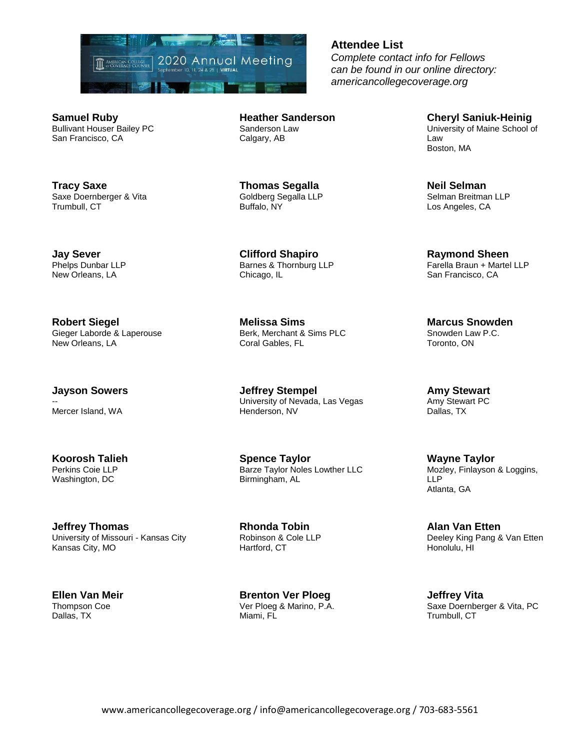

**Samuel Ruby** Bullivant Houser Bailey PC San Francisco, CA

**Tracy Saxe** Saxe Doernberger & Vita Trumbull, CT

**Jay Sever** Phelps Dunbar LLP New Orleans, LA

**Robert Siegel** Gieger Laborde & Laperouse New Orleans, LA

**Jayson Sowers**

-- Mercer Island, WA

**Koorosh Talieh** Perkins Coie LLP Washington, DC

**Jeffrey Thomas** University of Missouri - Kansas City Kansas City, MO

**Ellen Van Meir** Thompson Coe Dallas, TX

**Heather Sanderson** Sanderson Law Calgary, AB

**Thomas Segalla** Goldberg Segalla LLP Buffalo, NY

**Clifford Shapiro** Barnes & Thornburg LLP Chicago, IL

**Melissa Sims** Berk, Merchant & Sims PLC Coral Gables, FL

**Jeffrey Stempel** University of Nevada, Las Vegas Henderson, NV

**Spence Taylor** Barze Taylor Noles Lowther LLC Birmingham, AL

**Rhonda Tobin** Robinson & Cole LLP Hartford, CT

**Brenton Ver Ploeg** Ver Ploeg & Marino, P.A. Miami, FL

**Attendee List**

*Complete contact info for Fellows can be found in our online directory: americancollegecoverage.org*

> **Cheryl Saniuk-Heinig** University of Maine School of Law Boston, MA

**Neil Selman** Selman Breitman LLP Los Angeles, CA

**Raymond Sheen** Farella Braun + Martel LLP San Francisco, CA

**Marcus Snowden** Snowden Law P.C. Toronto, ON

**Amy Stewart** Amy Stewart PC Dallas, TX

**Wayne Taylor** Mozley, Finlayson & Loggins, LLP Atlanta, GA

**Alan Van Etten** Deeley King Pang & Van Etten Honolulu, HI

**Jeffrey Vita** Saxe Doernberger & Vita, PC Trumbull, CT